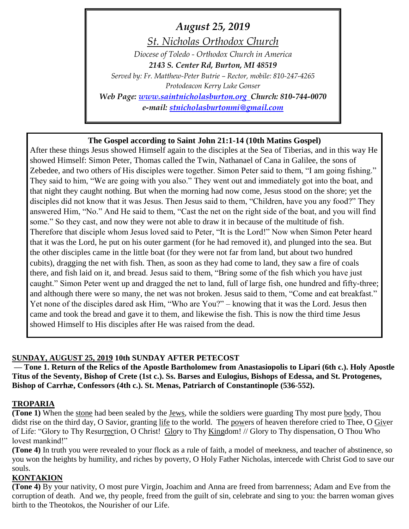*August 25, 2019 St. Nicholas Orthodox Church Diocese of Toledo - Orthodox Church in America 2143 S. Center Rd, Burton, MI 48519 Served by: Fr. Matthew-Peter Butrie – Rector, mobile: 810-247-4265 Protodeacon Kerry Luke Gonser Web Page: [www.saintnicholasburton.org](http://www.saintnicholasburton.org/) Church: 810-744-0070 e-mail: [stnicholasburtonmi@gmail.com](mailto:stnicholasburtonmi@gmail.com)*

### **The Gospel according to Saint John 21:1-14 (10th Matins Gospel)**

After these things Jesus showed Himself again to the disciples at the Sea of Tiberias, and in this way He showed Himself: Simon Peter, Thomas called the Twin, Nathanael of Cana in Galilee, the sons of Zebedee, and two others of His disciples were together. Simon Peter said to them, "I am going fishing." They said to him, "We are going with you also." They went out and immediately got into the boat, and that night they caught nothing. But when the morning had now come, Jesus stood on the shore; yet the disciples did not know that it was Jesus. Then Jesus said to them, "Children, have you any food?" They answered Him, "No." And He said to them, "Cast the net on the right side of the boat, and you will find some." So they cast, and now they were not able to draw it in because of the multitude of fish. Therefore that disciple whom Jesus loved said to Peter, "It is the Lord!" Now when Simon Peter heard that it was the Lord, he put on his outer garment (for he had removed it), and plunged into the sea. But the other disciples came in the little boat (for they were not far from land, but about two hundred cubits), dragging the net with fish. Then, as soon as they had come to land, they saw a fire of coals there, and fish laid on it, and bread. Jesus said to them, "Bring some of the fish which you have just caught." Simon Peter went up and dragged the net to land, full of large fish, one hundred and fifty-three; and although there were so many, the net was not broken. Jesus said to them, "Come and eat breakfast." Yet none of the disciples dared ask Him, "Who are You?" – knowing that it was the Lord. Jesus then came and took the bread and gave it to them, and likewise the fish. This is now the third time Jesus showed Himself to His disciples after He was raised from the dead.

### **SUNDAY, AUGUST 25, 2019 10th SUNDAY AFTER PETECOST**

**— Tone 1. Return of the Relics of the Apostle Bartholomew from Anastasiopolis to Lipari (6th c.). Holy Apostle Titus of the Seventy, Bishop of Crete (1st c.). Ss. Barses and Eulogius, Bishops of Edessa, and St. Protogenes, Bishop of Carrhæ, Confessors (4th c.). St. Menas, Patriarch of Constantinople (536-552).**

### **TROPARIA**

**(Tone 1)** When the stone had been sealed by the Jews, while the soldiers were guarding Thy most pure body, Thou didst rise on the third day, O Savior, granting life to the world. The powers of heaven therefore cried to Thee, O Giver of Life: "Glory to Thy Resurrection, O Christ! Glory to Thy Kingdom! // Glory to Thy dispensation, O Thou Who lovest mankind!"

**(Tone 4)** In truth you were revealed to your flock as a rule of faith, a model of meekness, and teacher of abstinence, so you won the heights by humility, and riches by poverty, O Holy Father Nicholas, intercede with Christ God to save our souls.

### **KONTAKION**

**(Tone 4)** By your nativity, O most pure Virgin, Joachim and Anna are freed from barrenness; Adam and Eve from the corruption of death. And we, thy people, freed from the guilt of sin, celebrate and sing to you: the barren woman gives birth to the Theotokos, the Nourisher of our Life.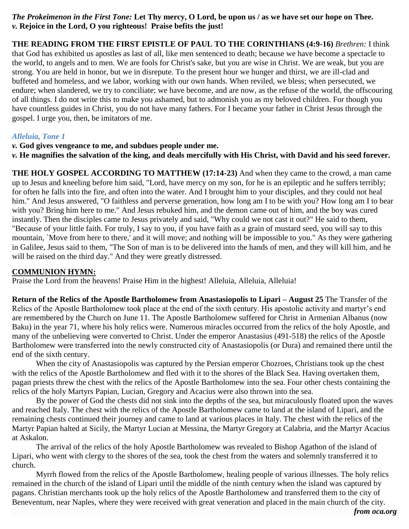#### *The Prokeimenon in the First Tone:* **Let Thy mercy, O Lord, be upon us / as we have set our hope on Thee.** *v.* **Rejoice in the Lord, O you righteous! Praise befits the just!**

**THE READING FROM THE FIRST EPISTLE OF PAUL TO THE CORINTHIANS (4:9-16)** *Brethren:* I think that God has exhibited us apostles as last of all, like men sentenced to death; because we have become a spectacle to the world, to angels and to men. We are fools for Christ's sake, but you are wise in Christ. We are weak, but you are strong. You are held in honor, but we in disrepute. To the present hour we hunger and thirst, we are ill-clad and buffeted and homeless, and we labor, working with our own hands. When reviled, we bless; when persecuted, we endure; when slandered, we try to conciliate; we have become, and are now, as the refuse of the world, the offscouring of all things. I do not write this to make you ashamed, but to admonish you as my beloved children. For though you have countless guides in Christ, you do not have many fathers. For I became your father in Christ Jesus through the gospel. I urge you, then, be imitators of me.

### *Alleluia, Tone 1*

*v.* **God gives vengeance to me, and subdues people under me.**

*v.* **He magnifies the salvation of the king, and deals mercifully with His Christ, with David and his seed forever.**

**THE HOLY GOSPEL ACCORDING TO MATTHEW (17:14-23)** And when they came to the crowd, a man came up to Jesus and kneeling before him said, "Lord, have mercy on my son, for he is an epileptic and he suffers terribly; for often he falls into the fire, and often into the water. And I brought him to your disciples, and they could not heal him." And Jesus answered, "O faithless and perverse generation, how long am I to be with you? How long am I to bear with you? Bring him here to me." And Jesus rebuked him, and the demon came out of him, and the boy was cured instantly. Then the disciples came to Jesus privately and said, "Why could we not cast it out?" He said to them, "Because of your little faith. For truly, I say to you, if you have faith as a grain of mustard seed, you will say to this mountain, `Move from here to there,' and it will move; and nothing will be impossible to you." As they were gathering in Galilee, Jesus said to them, "The Son of man is to be delivered into the hands of men, and they will kill him, and he will be raised on the third day." And they were greatly distressed.

# **COMMUNION HYMN:**

Praise the Lord from the heavens! Praise Him in the highest! Alleluia, Alleluia, Alleluia!

**Return of the Relics of the Apostle Bartholomew from Anastasiopolis to Lipari – August 25** The Transfer of the Relics of the Apostle Bartholomew took place at the end of the sixth century. His apostolic activity and martyr's end are remembered by the Church on June 11. The Apostle Bartholomew suffered for Christ in Armenian Albanus (now Baku) in the year 71, where his holy relics were. Numerous miracles occurred from the relics of the holy Apostle, and many of the unbelieving were converted to Christ. Under the emperor Anastasius (491-518) the relics of the Apostle Bartholomew were transferred into the newly constructed city of Anastasiopolis (or Dura) and remained there until the end of the sixth century.

When the city of Anastasiopolis was captured by the Persian emperor Chozroes, Christians took up the chest with the relics of the Apostle Bartholomew and fled with it to the shores of the Black Sea. Having overtaken them, pagan priests threw the chest with the relics of the Apostle Bartholomew into the sea. Four other chests containing the relics of the holy Martyrs Papian, Lucian, Gregory and Acacius were also thrown into the sea.

By the power of God the chests did not sink into the depths of the sea, but miraculously floated upon the waves and reached Italy. The chest with the relics of the Apostle Bartholomew came to land at the island of Lipari, and the remaining chests continued their journey and came to land at various places in Italy. The chest with the relics of the Martyr Papian halted at Sicily, the Martyr Lucian at Messina, the Martyr Gregory at Calabria, and the Martyr Acacius at Askalon.

The arrival of the relics of the holy Apostle Bartholomew was revealed to Bishop Agathon of the island of Lipari, who went with clergy to the shores of the sea, took the chest from the waters and solemnly transferred it to church.

Myrrh flowed from the relics of the Apostle Bartholomew, healing people of various illnesses. The holy relics remained in the church of the island of Lipari until the middle of the ninth century when the island was captured by pagans. Christian merchants took up the holy relics of the Apostle Bartholomew and transferred them to the city of Beneventum, near Naples, where they were received with great veneration and placed in the main church of the city.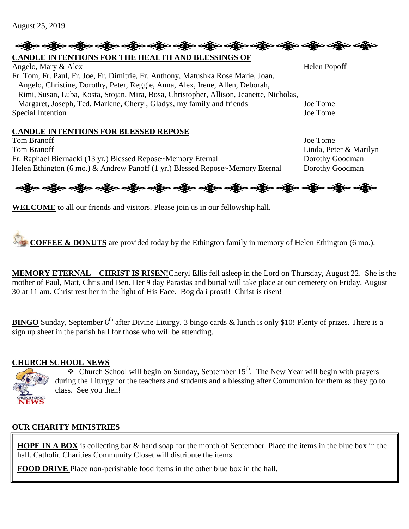# ခရွို့လ ခရွို့လ ခရွို့လ ခရွို့လ ခရွို့လ ခရွို့လ ခရွို့လ ခရွို့လ ခရွို့လ ခရွို့လ ခရွို့လ ခရွို့လ ခရွို့လ ခရွိုလ

# **CANDLE INTENTIONS FOR THE HEALTH AND BLESSINGS OF**

Angelo, Mary & Alex Helen Popoff Fr. Tom, Fr. Paul, Fr. Joe, Fr. Dimitrie, Fr. Anthony, Matushka Rose Marie, Joan, Angelo, Christine, Dorothy, Peter, Reggie, Anna, Alex, Irene, Allen, Deborah, Rimi, Susan, Luba, Kosta, Stojan, Mira, Bosa, Christopher, Allison, Jeanette, Nicholas, Margaret, Joseph, Ted, Marlene, Cheryl, Gladys, my family and friends Joe Tome Special Intention Joe Tome

#### **CANDLE INTENTIONS FOR BLESSED REPOSE**

Tom Branoff Joe Tome Tom Branoff **Linda, Peter & Marilyn** Fr. Raphael Biernacki (13 yr.) Blessed Repose~Memory Eternal Dorothy Goodman Helen Ethington (6 mo.) & Andrew Panoff (1 yr.) Blessed Repose~Memory Eternal Dorothy Goodman



**WELCOME** to all our friends and visitors. Please join us in our fellowship hall.

**COFFEE & DONUTS** are provided today by the Ethington family in memory of Helen Ethington (6 mo.).

**MEMORY ETERNAL – CHRIST IS RISEN!**Cheryl Ellis fell asleep in the Lord on Thursday, August 22. She is the mother of Paul, Matt, Chris and Ben. Her 9 day Parastas and burial will take place at our cemetery on Friday, August 30 at 11 am. Christ rest her in the light of His Face. Bog da i prosti! Christ is risen!

**BINGO** Sunday, September  $8<sup>th</sup>$  after Divine Liturgy. 3 bingo cards & lunch is only \$10! Plenty of prizes. There is a sign up sheet in the parish hall for those who will be attending.

# **CHURCH SCHOOL NEWS**



 $\cdot$  Church School will begin on Sunday, September 15<sup>th</sup>. The New Year will begin with prayers during the Liturgy for the teachers and students and a blessing after Communion for them as they go to class. See you then!

### **OUR CHARITY MINISTRIES**

**HOPE IN A BOX** is collecting bar & hand soap for the month of September. Place the items in the blue box in the hall. Catholic Charities Community Closet will distribute the items.

**FOOD DRIVE** Place non-perishable food items in the other blue box in the hall.